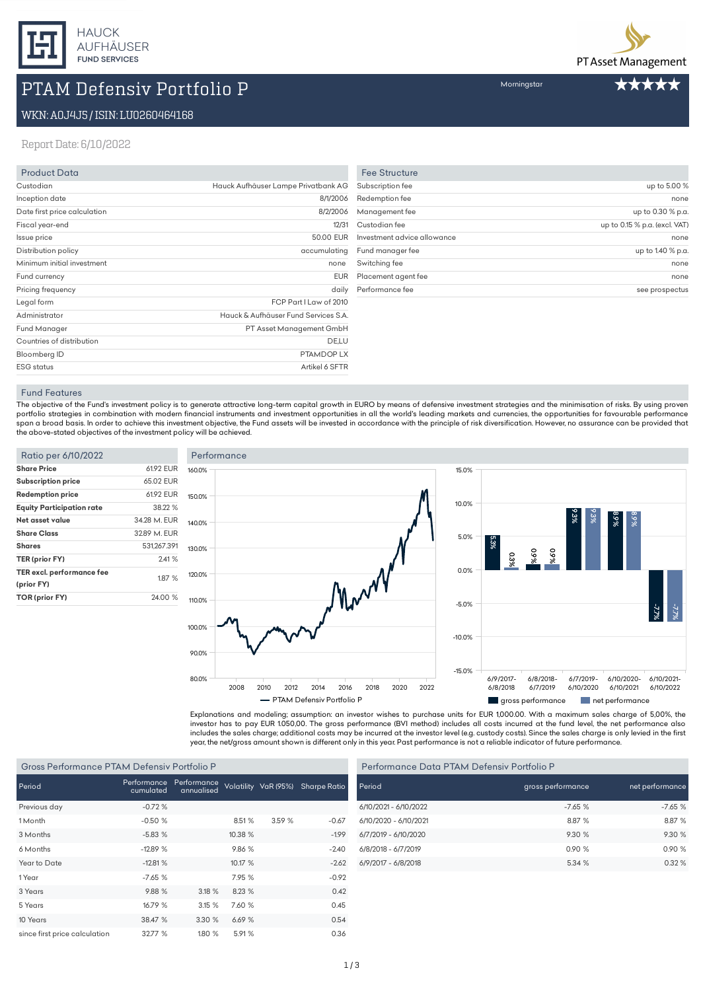

# PTAM Defensiv Portfolio P

# WKN:A0J4J5/ISIN:LU0260464168

### Report Date: 6/10/2022

| <b>Product Data</b>          |                                      |
|------------------------------|--------------------------------------|
| Custodian                    | Hauck Aufhäuser Lampe Privatbank AG  |
| Inception date               | 8/1/2006                             |
| Date first price calculation | 8/2/2006                             |
| Fiscal year-end              | 12/31                                |
| Issue price                  | 50.00 EUR                            |
| Distribution policy          | accumulating                         |
| Minimum initial investment   | none                                 |
| Fund currency                | <b>EUR</b>                           |
| Pricing frequency            | daily                                |
| Legal form                   | FCP Part I Law of 2010               |
| Administrator                | Hauck & Aufhäuser Fund Services S.A. |
| <b>Fund Manager</b>          | PT Asset Management GmbH             |
| Countries of distribution    | DE,LU                                |
| Bloomberg ID                 | PTAMDOP LX                           |
| <b>ESG</b> status            | Artikel 6 SFTR                       |

| up to 5.00 %                  |
|-------------------------------|
| none                          |
| up to 0.30 % p.a.             |
| up to 0.15 % p.a. (excl. VAT) |
| none                          |
|                               |
| up to 1.40 % p.a.             |
| none                          |
| none                          |
|                               |

#### Fund Features

The objective of the Fund's investment policy is to generate attractive long-term capital growth in EURO by means of defensive investment strategies and the minimisation of risks. By using proven portfolio strategies in combination with modern financial instruments and investment opportunities in all the world's leading markets and currencies, the opportunities for favourable performance span a broad basis. In order to achieve this investment objective, the Fund assets will be invested in accordance with the principle of risk diversification. However, no assurance can be provided that the above-stated objectives of the investment policy will be achieved.

| Ratio per 6/10/2022              |              | F  |
|----------------------------------|--------------|----|
| <b>Share Price</b>               | 61.92 EUR    | 16 |
| <b>Subscription price</b>        | 65.02 EUR    |    |
| <b>Redemption price</b>          | 61.92 EUR    | 15 |
| <b>Equity Participation rate</b> | 38.22 %      |    |
| Net asset value                  | 34.28 M. EUR | 14 |
| <b>Share Class</b>               | 32.89 M. EUR |    |
| <b>Shares</b>                    | 531.267.391  | 13 |
| TER (prior FY)                   | 2.41%        |    |
| TER excl. performance fee        | 1.87 %       | 12 |
| (prior FY)                       |              |    |
| TOR (prior FY)                   | 24.00 %      | 11 |





Explanations and modeling; assumption: an investor wishes to purchase units for EUR 1,000.00. With a maximum sales charge of 5,00%, the investor has to pay EUR 1.050,00. The gross performance (BVI method) includes all costs incurred at the fund level, the net performance also includes the sales charge; additional costs may be incurred at the investor level (e.g. custody costs). Since the sales charge is only levied in the first year, the net/gross amount shown is different only in this year. Past performance is not a reliable indicator of future performance.

#### Gross Performance PTAM Defensiv Portfolio P

| Period                        | cumulated | Performance Performance<br>annualised |         | Volatility VaR (95%) | <b>Sharpe Ratio</b> |
|-------------------------------|-----------|---------------------------------------|---------|----------------------|---------------------|
| Previous day                  | $-0.72%$  |                                       |         |                      |                     |
| 1 Month                       | $-0.50%$  |                                       | 8.51%   | 3.59 %               | $-0.67$             |
| 3 Months                      | $-5.83%$  |                                       | 10.38 % |                      | $-1.99$             |
| 6 Months                      | $-12.89%$ |                                       | 9.86%   |                      | $-2.40$             |
| Year to Date                  | $-12.81%$ |                                       | 10.17%  |                      | $-2.62$             |
| 1 Year                        | $-7.65%$  |                                       | 7.95 %  |                      | $-0.92$             |
| 3 Years                       | 9.88%     | 3.18%                                 | 8.23 %  |                      | 0.42                |
| 5 Years                       | 16.79 %   | 3.15%                                 | 7.60 %  |                      | 0.45                |
| 10 Years                      | 38.47 %   | 3.30 %                                | 6.69%   |                      | 0.54                |
| since first price calculation | 32.77%    | 1.80 %                                | 5.91%   |                      | 0.36                |

| Performance Data PTAM Defensiv Portfolio P |                   |                 |  |
|--------------------------------------------|-------------------|-----------------|--|
| Period                                     | gross performance | net performance |  |
| 6/10/2021 - 6/10/2022                      | $-7.65%$          | $-7.65%$        |  |
| 6/10/2020 - 6/10/2021                      | 8.87 %            | 8.87 %          |  |
| 6/7/2019 - 6/10/2020                       | 9.30%             | 9.30 %          |  |
| 6/8/2018 - 6/7/2019                        | 0.90%             | 0.90%           |  |
| 6/9/2017 - 6/8/2018                        | 5.34 %            | 0.32%           |  |



Morningstar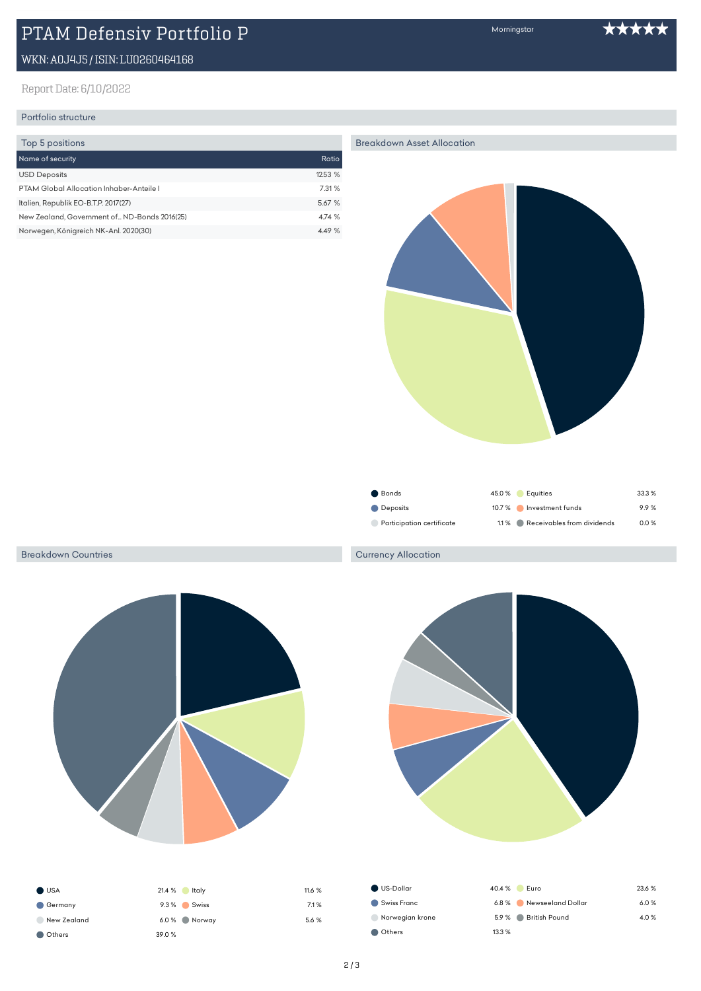# PTAM Defensiv Portfolio P

# WKN:A0J4J5/ISIN:LU0260464168

## Report Date: 6/10/2022

## Portfolio structure

| Top 5 positions                               |        |
|-----------------------------------------------|--------|
| Name of security                              | Ratio  |
| <b>USD Deposits</b>                           | 12.53% |
| PTAM Global Allocation Inhaber-Anteile L      | 7.31 % |
| Italien, Republik EO-B.T.P. 2017(27)          | 5.67 % |
| New Zealand, Government of  ND-Bonds 2016(25) | 4.74 % |
| Norwegen, Königreich NK-Anl. 2020(30)         | 4.49 % |

Breakdown Asset Allocation



| $\sim$ 001100             | $-0.0$ $\sqrt{0}$ $-0.00$       | <b>UU.U</b> /u |
|---------------------------|---------------------------------|----------------|
| Deposits                  | 10.7 % Investment funds         | 99%            |
| Participation certificate | 1.1% Receivables from dividends | $0.0 \%$       |

#### Breakdown Countries





Morningstar